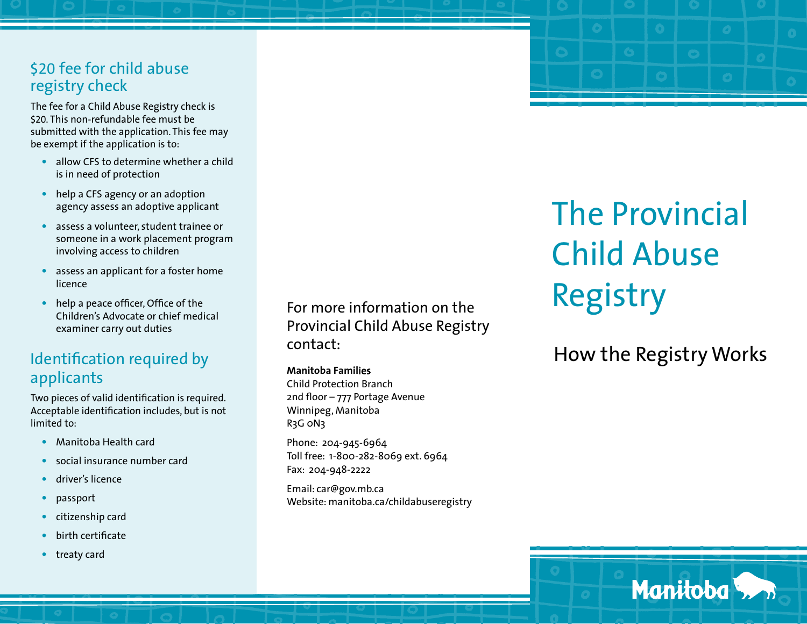#### \$20 fee for child abuse registry check

The fee for a Child Abuse Registry check is \$20. This non-refundable fee must be submitted with the application. This fee may be exempt if the application is to:

- **•** allow CFS to determine whether a child is in need of protection
- **•** help a CFS agency or an adoption agency assess an adoptive applicant
- **•** assess a volunteer, student trainee or someone in a work placement program involving access to children
- **•** assess an applicant for a foster home licence
- help a peace officer, Office of the Children's Advocate or chief medical examiner carry out duties

## Identifcation required by applicants

Two pieces of valid identifcation is required. Acceptable identifcation includes, but is not limited to:

- **•** Manitoba Health card
- **•** social insurance number card
- **•** driver's licence
- **•** passport
- **•** citizenship card
- **•** birth certifcate
- **•** treaty card

For more information on the Provincial Child Abuse Registry contact:

#### **Manitoba Famil**ies

Child Protection Branch 2nd foor – 777 Portage Avenue Winnipeg, Manitoba R<sub>3</sub>G oN<sub>3</sub>

Phone: 204-945-6964 Toll free: 1-800-282-8069 ext. 6964 Fax: 204-948-2222

Email: car@gov.mb.ca Website: manitoba.ca/childabuseregistry

# The Provincial Child Abuse Registry

How the Registry Works

Manitoba<sup>5</sup>